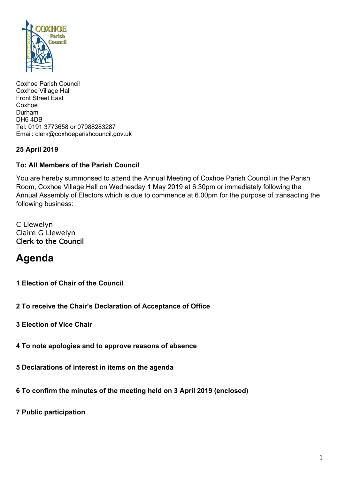

Coxhoe Parish Council Coxhoe Village Hall Front Street East Coxhoe Durham DH6 4DB Tel: 0191 3773658 or 07988283287 Email: clerk@coxhoeparishcouncil.gov.uk

### **25 April 2019**

#### **To: All Members of the Parish Council**

You are hereby summonsed to attend the Annual Meeting of Coxhoe Parish Council in the Parish Room, Coxhoe Village Hall on Wednesday 1 May 2019 at 6.30pm or immediately following the Annual Assembly of Electors which is due to commence at 6.00pm for the purpose of transacting the following business:

C Llewelyn Claire G Llewelyn Clerk to the Council

# **Agenda**

- **1 Election of Chair of the Council**
- **2 To receive the Chair's Declaration of Acceptance of Office**
- **3 Election of Vice Chair**
- **4 To note apologies and to approve reasons of absence**
- **5 Declarations of interest in items on the agenda**
- **6 To confirm the minutes of the meeting held on 3 April 2019 (enclosed)**
- **7 Public participation**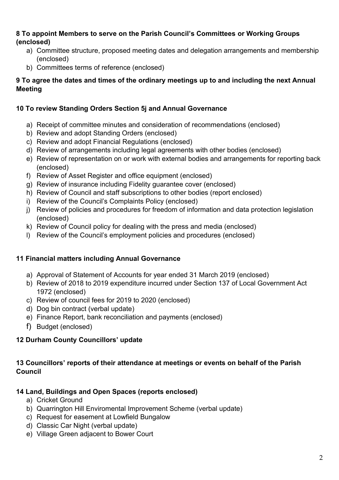### **8 To appoint Members to serve on the Parish Council's Committees or Working Groups (enclosed)**

- a) Committee structure, proposed meeting dates and delegation arrangements and membership (enclosed)
- b) Committees terms of reference (enclosed)

### **9 To agree the dates and times of the ordinary meetings up to and including the next Annual Meeting**

### **10 To review Standing Orders Section 5j and Annual Governance**

- a) Receipt of committee minutes and consideration of recommendations (enclosed)
- b) Review and adopt Standing Orders (enclosed)
- c) Review and adopt Financial Regulations (enclosed)
- d) Review of arrangements including legal agreements with other bodies (enclosed)
- e) Review of representation on or work with external bodies and arrangements for reporting back (enclosed)
- f) Review of Asset Register and office equipment (enclosed)
- g) Review of insurance including Fidelity guarantee cover (enclosed)
- h) Review of Council and staff subscriptions to other bodies (report enclosed)
- i) Review of the Council's Complaints Policy (enclosed)
- j) Review of policies and procedures for freedom of information and data protection legislation (enclosed)
- k) Review of Council policy for dealing with the press and media (enclosed)
- l) Review of the Council's employment policies and procedures (enclosed)

### **11 Financial matters including Annual Governance**

- a) Approval of Statement of Accounts for year ended 31 March 2019 (enclosed)
- b) Review of 2018 to 2019 expenditure incurred under Section 137 of Local Government Act 1972 (enclosed)
- c) Review of council fees for 2019 to 2020 (enclosed)
- d) Dog bin contract (verbal update)
- e) Finance Report, bank reconciliation and payments (enclosed)
- f) Budget (enclosed)

### **12 Durham County Councillors' update**

### **13 Councillors' reports of their attendance at meetings or events on behalf of the Parish Council**

### **14 Land, Buildings and Open Spaces (reports enclosed)**

- a) Cricket Ground
- b) Quarrington Hill Enviromental Improvement Scheme (verbal update)
- c) Request for easement at Lowfield Bungalow
- d) Classic Car Night (verbal update)
- e) Village Green adjacent to Bower Court